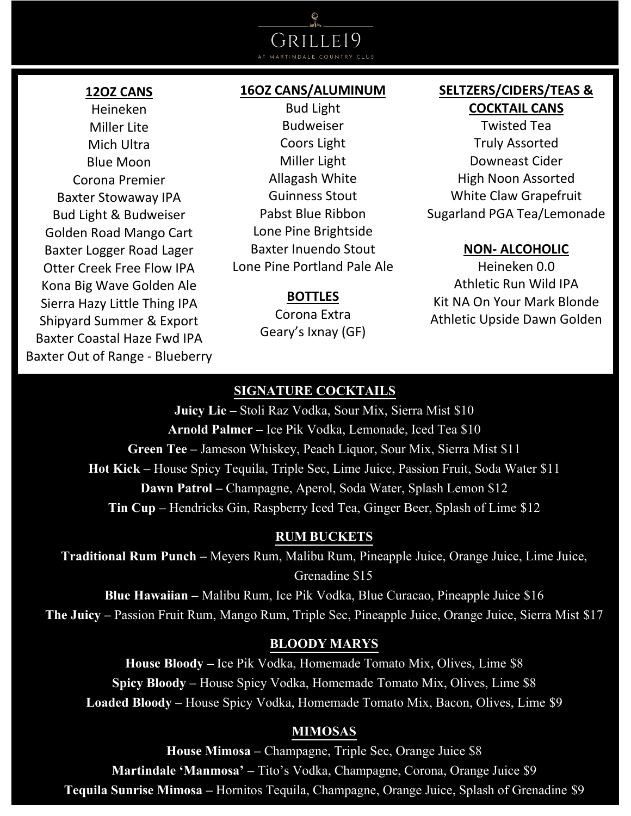# $E[0]$  $\overline{R}$  II

#### **12OZ CANS**

Heineken Miller Lite Mich Ultra Blue Moon Corona Premier Baxter Stowaway IPA Bud Light & Budweiser Golden Road Mango Cart Baxter Logger Road Lager Otter Creek Free Flow IPA Kona Big Wave Golden Ale Sierra Hazy Little Thing IPA Shipyard Summer & Export Baxter Coastal Haze Fwd IPA Baxter Out of Range - Blueberry

#### **16OZ CANS/ALUMINUM**

Bud Light Budweiser Coors Light Miller Light Allagash White Guinness Stout Pabst Blue Ribbon Lone Pine Brightside Baxter Inuendo Stout Lone Pine Portland Pale Ale

#### **BOTTLES**

Corona Extra Geary's Ixnay (GF)

# **SELTZERS/CIDERS/TEAS & COCKTAIL CANS**

Twisted Tea Truly Assorted Downeast Cider High Noon Assorted White Claw Grapefruit Sugarland PGA Tea/Lemonade

#### **NON- ALCOHOLIC**

Heineken 0.0 Athletic Run Wild IPA Kit NA On Your Mark Blonde Athletic Upside Dawn Golden

## **SIGNATURE COCKTAILS**

**Juicy Lie –** Stoli Raz Vodka, Sour Mix, Sierra Mist \$10 **Arnold Palmer –** Ice Pik Vodka, Lemonade, Iced Tea \$10 **Green Tee –** Jameson Whiskey, Peach Liquor, Sour Mix, Sierra Mist \$11 **Hot Kick –** House Spicy Tequila, Triple Sec, Lime Juice, Passion Fruit, Soda Water \$11 **Dawn Patrol –** Champagne, Aperol, Soda Water, Splash Lemon \$12 **Tin Cup –** Hendricks Gin, Raspberry Iced Tea, Ginger Beer, Splash of Lime \$12

#### **RUM BUCKETS**

**Traditional Rum Punch –** Meyers Rum, Malibu Rum, Pineapple Juice, Orange Juice, Lime Juice, Grenadine \$15

**Blue Hawaiian –** Malibu Rum, Ice Pik Vodka, Blue Curacao, Pineapple Juice \$16 **The Juicy –** Passion Fruit Rum, Mango Rum, Triple Sec, Pineapple Juice, Orange Juice, Sierra Mist \$17

#### **BLOODY MARYS**

**House Bloody –** Ice Pik Vodka, Homemade Tomato Mix, Olives, Lime \$8 **Spicy Bloody –** House Spicy Vodka, Homemade Tomato Mix, Olives, Lime \$8 **Loaded Bloody –** House Spicy Vodka, Homemade Tomato Mix, Bacon, Olives, Lime \$9

#### **MIMOSAS**

**House Mimosa –** Champagne, Triple Sec, Orange Juice \$8 **Martindale 'Manmosa' –** Tito's Vodka, Champagne, Corona, Orange Juice \$9 **Tequila Sunrise Mimosa –** Hornitos Tequila, Champagne, Orange Juice, Splash of Grenadine \$9